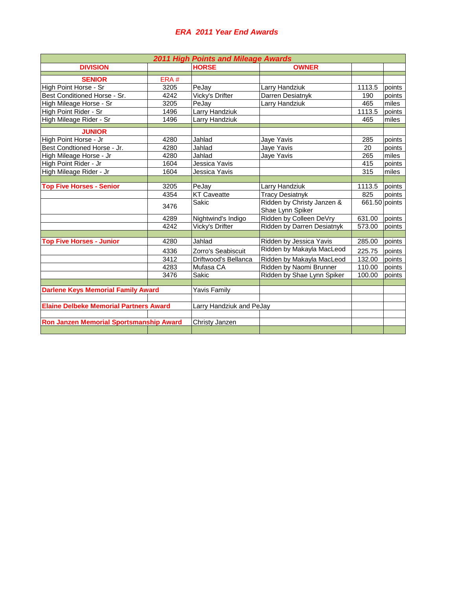## *ERA 2011 Year End Awards*

| <b>2011 High Points and Mileage Awards</b>    |      |                          |                                                |        |               |  |  |  |  |
|-----------------------------------------------|------|--------------------------|------------------------------------------------|--------|---------------|--|--|--|--|
| <b>DIVISION</b>                               |      | <b>HORSE</b>             | <b>OWNER</b>                                   |        |               |  |  |  |  |
| <b>SENIOR</b>                                 | ERA# |                          |                                                |        |               |  |  |  |  |
| High Point Horse - Sr                         | 3205 | PeJay                    | Larry Handziuk                                 | 1113.5 | points        |  |  |  |  |
| Best Conditioned Horse - Sr.                  | 4242 | Vicky's Drifter          | Darren Desiatnyk                               | 190    | points        |  |  |  |  |
| High Mileage Horse - Sr                       | 3205 | PeJay                    | Larry Handziuk                                 | 465    | miles         |  |  |  |  |
| High Point Rider - Sr                         | 1496 | Larry Handziuk           |                                                | 1113.5 | points        |  |  |  |  |
| High Mileage Rider - Sr                       | 1496 | Larry Handziuk           |                                                | 465    | miles         |  |  |  |  |
| <b>JUNIOR</b>                                 |      |                          |                                                |        |               |  |  |  |  |
| High Point Horse - Jr                         | 4280 | Jahlad                   | Jaye Yavis                                     | 285    | points        |  |  |  |  |
| Best Condtioned Horse - Jr.                   | 4280 | Jahlad                   | Jaye Yavis                                     | 20     | points        |  |  |  |  |
| High Mileage Horse - Jr                       | 4280 | Jahlad                   | Jaye Yavis                                     | 265    | miles         |  |  |  |  |
| High Point Rider - Jr                         | 1604 | Jessica Yavis            |                                                | 415    | points        |  |  |  |  |
| High Mileage Rider - Jr                       | 1604 | Jessica Yavis            |                                                | 315    | miles         |  |  |  |  |
|                                               |      |                          |                                                |        |               |  |  |  |  |
| <b>Top Five Horses - Senior</b>               | 3205 | PeJay                    | Larry Handziuk                                 | 1113.5 | points        |  |  |  |  |
|                                               | 4354 | <b>KT Caveatte</b>       | <b>Tracy Desiatnyk</b>                         | 825    | points        |  |  |  |  |
|                                               | 3476 | Sakic                    | Ridden by Christy Janzen &<br>Shae Lynn Spiker |        | 661.50 points |  |  |  |  |
|                                               | 4289 | Nightwind's Indigo       | Ridden by Colleen DeVry                        | 631.00 | points        |  |  |  |  |
|                                               | 4242 | Vicky's Drifter          | Ridden by Darren Desiatnyk                     | 573.00 | points        |  |  |  |  |
|                                               |      |                          |                                                |        |               |  |  |  |  |
| <b>Top Five Horses - Junior</b>               | 4280 | Jahlad                   | Ridden by Jessica Yavis                        | 285.00 | points        |  |  |  |  |
|                                               | 4336 | Zorro's Seabiscuit       | Ridden by Makayla MacLeod                      | 225.75 | points        |  |  |  |  |
|                                               | 3412 | Driftwood's Bellanca     | Ridden by Makayla MacLeod                      | 132.00 | points        |  |  |  |  |
|                                               | 4283 | Mufasa CA                | Ridden by Naomi Brunner                        | 110.00 | points        |  |  |  |  |
|                                               | 3476 | Sakic                    | Ridden by Shae Lynn Spiker                     | 100.00 | points        |  |  |  |  |
|                                               |      |                          |                                                |        |               |  |  |  |  |
| <b>Darlene Keys Memorial Family Award</b>     |      | <b>Yavis Family</b>      |                                                |        |               |  |  |  |  |
|                                               |      |                          |                                                |        |               |  |  |  |  |
| <b>Elaine Delbeke Memorial Partners Award</b> |      | Larry Handziuk and PeJay |                                                |        |               |  |  |  |  |
|                                               |      |                          |                                                |        |               |  |  |  |  |
| Ron Janzen Memorial Sportsmanship Award       |      | Christy Janzen           |                                                |        |               |  |  |  |  |
|                                               |      |                          |                                                |        |               |  |  |  |  |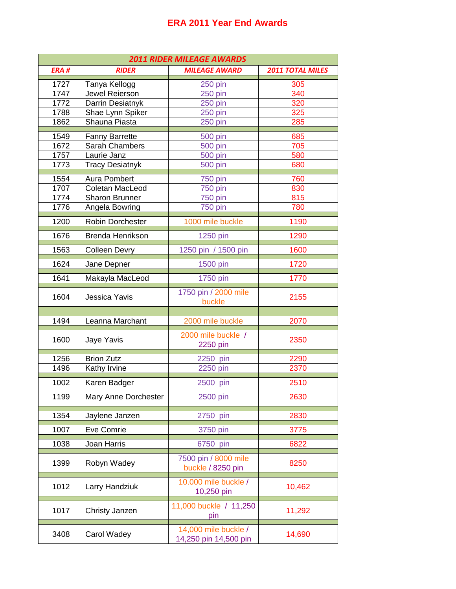## **ERA 2011 Year End Awards**

| <b>2011 RIDER MILEAGE AWARDS</b> |                        |                                               |                         |  |  |  |  |
|----------------------------------|------------------------|-----------------------------------------------|-------------------------|--|--|--|--|
| ERA#                             | <b>RIDER</b>           | <b>MILEAGE AWARD</b>                          | <b>2011 TOTAL MILES</b> |  |  |  |  |
| 1727                             | Tanya Kellogg          | 250 pin                                       | 305                     |  |  |  |  |
| 1747                             | Jewel Reierson         | <b>250 pin</b>                                | 340                     |  |  |  |  |
| 1772                             | Darrin Desiatnyk       | <b>250 pin</b>                                | 320                     |  |  |  |  |
| 1788                             | Shae Lynn Spiker       | 250 pin                                       | 325                     |  |  |  |  |
| 1862                             | Shauna Piasta          | 250 pin                                       | 285                     |  |  |  |  |
| 1549                             | <b>Fanny Barrette</b>  | <b>500 pin</b>                                | 685                     |  |  |  |  |
| 1672                             | Sarah Chambers         | <b>500 pin</b>                                | 705                     |  |  |  |  |
| 1757                             | Laurie Janz            | <b>500 pin</b>                                | 580                     |  |  |  |  |
| 1773                             | <b>Tracy Desiatnyk</b> | <b>500 pin</b>                                | 680                     |  |  |  |  |
| 1554                             | <b>Aura Pombert</b>    | 750 pin                                       | 760                     |  |  |  |  |
| 1707                             | Coletan MacLeod        | <b>750 pin</b>                                | 830                     |  |  |  |  |
| 1774                             | Sharon Brunner         | 750 pin                                       | 815                     |  |  |  |  |
| 1776                             | Angela Bowring         | 750 pin                                       | 780                     |  |  |  |  |
| 1200                             | Robin Dorchester       | 1000 mile buckle                              | 1190                    |  |  |  |  |
| 1676                             | Brenda Henrikson       | 1250 pin                                      | 1290                    |  |  |  |  |
| 1563                             | <b>Colleen Devry</b>   | 1250 pin / 1500 pin                           | 1600                    |  |  |  |  |
| 1624                             | Jane Depner            | 1500 pin                                      | 1720                    |  |  |  |  |
| 1641                             | Makayla MacLeod        | 1750 pin                                      | 1770                    |  |  |  |  |
| 1604                             | Jessica Yavis          | 1750 pin / 2000 mile<br>buckle                | 2155                    |  |  |  |  |
|                                  |                        |                                               |                         |  |  |  |  |
| 1494                             | Leanna Marchant        | 2000 mile buckle                              | 2070                    |  |  |  |  |
| 1600                             | Jaye Yavis             | 2000 mile buckle /<br>2250 pin                | 2350                    |  |  |  |  |
|                                  |                        |                                               |                         |  |  |  |  |
| 1256                             | <b>Brion Zutz</b>      | 2250 pin                                      | 2290                    |  |  |  |  |
| 1496                             | Kathy Irvine           | 2250 pin                                      | 2370                    |  |  |  |  |
| 1002                             | Karen Badger           | 2500 pin                                      | 2510                    |  |  |  |  |
| 1199                             | Mary Anne Dorchester   | 2500 pin                                      | 2630                    |  |  |  |  |
| 1354                             | Jaylene Janzen         | 2750 pin                                      | 2830                    |  |  |  |  |
| 1007                             | Eve Comrie             | 3750 pin                                      | 3775                    |  |  |  |  |
| 1038                             | Joan Harris            | 6750 pin                                      | 6822                    |  |  |  |  |
| 1399                             | Robyn Wadey            | 7500 pin / 8000 mile<br>buckle / 8250 pin     | 8250                    |  |  |  |  |
| 1012                             | Larry Handziuk         | 10.000 mile buckle /<br>10,250 pin            | 10,462                  |  |  |  |  |
| 1017                             | Christy Janzen         | 11,000 buckle / 11,250<br>pin                 | 11,292                  |  |  |  |  |
| 3408                             | Carol Wadey            | 14,000 mile buckle /<br>14,250 pin 14,500 pin | 14,690                  |  |  |  |  |